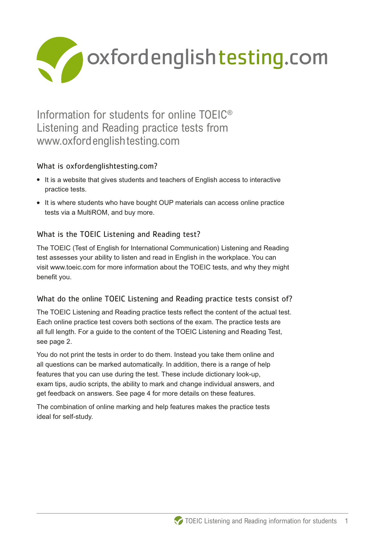

# Information for students for online TOEIC® Listening and Reading practice tests from www.oxfordenglishtesting.com a originon toothig.com<br>denalishtesting.com?

# What is oxfordenglishtesting.com?

- **•** It is a website that gives students and teachers of English access to interactive practice tests.
- **•** It is where students who have bought OUP materials can access online practice tests via a MultiROM, and buy more.

# What is the TOEIC Listening and Reading test?

The TOEIC (Test of English for International Communication) Listening and Reading test assesses your ability to listen and read in English in the workplace. You can visit www.toeic.com for more information about the TOEIC tests, and why they might benefit you.

## What do the online TOEIC Listening and Reading practice tests consist of?

The TOEIC Listening and Reading practice tests reflect the content of the actual test. Each online practice test covers both sections of the exam. The practice tests are all full length. For a guide to the content of the TOEIC Listening and Reading Test, see page 2.

You do not print the tests in order to do them. Instead you take them online and all questions can be marked automatically. In addition, there is a range of help features that you can use during the test. These include dictionary look-up, exam tips, audio scripts, the ability to mark and change individual answers, and get feedback on answers. See page 4 for more details on these features.

The combination of online marking and help features makes the practice tests ideal for self-study.

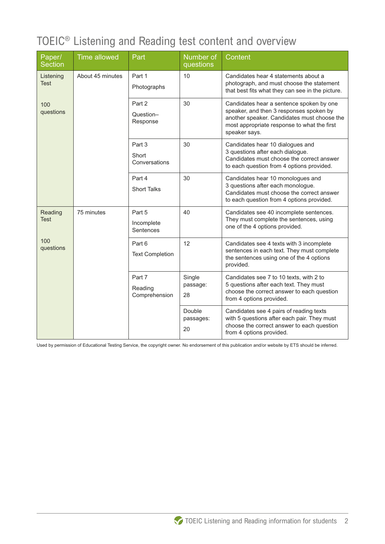# TOEIC® Listening and Reading test content and overview

| Paper/<br><b>Section</b>                                         | <b>Time allowed</b>               | Part                               | Number of<br>questions                                                                                                                | Content                                                                                                                                                                                            |
|------------------------------------------------------------------|-----------------------------------|------------------------------------|---------------------------------------------------------------------------------------------------------------------------------------|----------------------------------------------------------------------------------------------------------------------------------------------------------------------------------------------------|
| About 45 minutes<br>Listening<br><b>Test</b><br>100<br>questions | Part 1<br>Photographs             | 10                                 | Candidates hear 4 statements about a<br>photograph, and must choose the statement<br>that best fits what they can see in the picture. |                                                                                                                                                                                                    |
|                                                                  |                                   | Part 2<br>Question-<br>Response    | 30                                                                                                                                    | Candidates hear a sentence spoken by one<br>speaker, and then 3 responses spoken by<br>another speaker. Candidates must choose the<br>most appropriate response to what the first<br>speaker says. |
|                                                                  |                                   | Part 3<br>Short<br>Conversations   | 30                                                                                                                                    | Candidates hear 10 dialogues and<br>3 questions after each dialogue.<br>Candidates must choose the correct answer<br>to each question from 4 options provided.                                     |
|                                                                  |                                   | Part 4<br><b>Short Talks</b>       | 30                                                                                                                                    | Candidates hear 10 monologues and<br>3 questions after each monologue.<br>Candidates must choose the correct answer<br>to each question from 4 options provided.                                   |
| 75 minutes<br>Reading<br>Test<br>100<br>questions                | Part 5<br>Incomplete<br>Sentences | 40                                 | Candidates see 40 incomplete sentences.<br>They must complete the sentences, using<br>one of the 4 options provided.                  |                                                                                                                                                                                                    |
|                                                                  |                                   | Part 6<br><b>Text Completion</b>   | 12                                                                                                                                    | Candidates see 4 texts with 3 incomplete<br>sentences in each text. They must complete<br>the sentences using one of the 4 options<br>provided.                                                    |
|                                                                  |                                   | Part 7<br>Reading<br>Comprehension | Single<br>passage:<br>28                                                                                                              | Candidates see 7 to 10 texts, with 2 to<br>5 questions after each text. They must<br>choose the correct answer to each question<br>from 4 options provided.                                        |
|                                                                  |                                   |                                    | Double<br>passages:<br>20                                                                                                             | Candidates see 4 pairs of reading texts<br>with 5 questions after each pair. They must<br>choose the correct answer to each question<br>from 4 options provided.                                   |

Used by permission of Educational Testing Service, the copyright owner. No endorsement of this publication and/or website by ETS should be inferred.

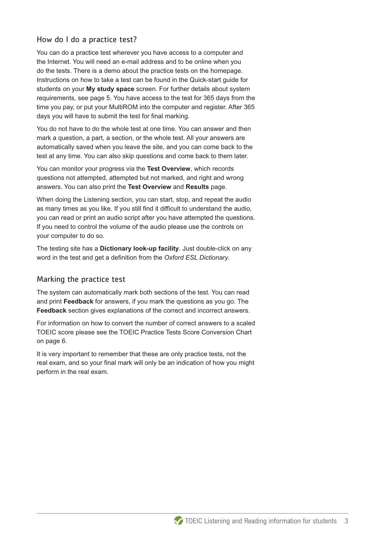### How do I do a practice test?

You can do a practice test wherever you have access to a computer and the Internet. You will need an e-mail address and to be online when you do the tests. There is a demo about the practice tests on the homepage. Instructions on how to take a test can be found in the Quick-start guide for students on your **My study space** screen. For further details about system requirements, see page 5. You have access to the test for 365 days from the time you pay, or put your MultiROM into the computer and register. After 365 days you will have to submit the test for final marking.

You do not have to do the whole test at one time. You can answer and then mark a question, a part, a section, or the whole test. All your answers are automatically saved when you leave the site, and you can come back to the test at any time. You can also skip questions and come back to them later.

You can monitor your progress via the **Test Overview**, which records questions not attempted, attempted but not marked, and right and wrong answers. You can also print the **Test Overview** and **Results** page.

When doing the Listening section, you can start, stop, and repeat the audio as many times as you like. If you still find it difficult to understand the audio, you can read or print an audio script after you have attempted the questions. If you need to control the volume of the audio please use the controls on your computer to do so.

The testing site has a **Dictionary look-up facility**. Just double-click on any word in the test and get a definition from the *Oxford ESL Dictionary*.

### Marking the practice test

The system can automatically mark both sections of the test. You can read and print **Feedback** for answers, if you mark the questions as you go. The **Feedback** section gives explanations of the correct and incorrect answers.

For information on how to convert the number of correct answers to a scaled TOEIC score please see the TOEIC Practice Tests Score Conversion Chart on page 6.

It is very important to remember that these are only practice tests, not the real exam, and so your final mark will only be an indication of how you might perform in the real exam.

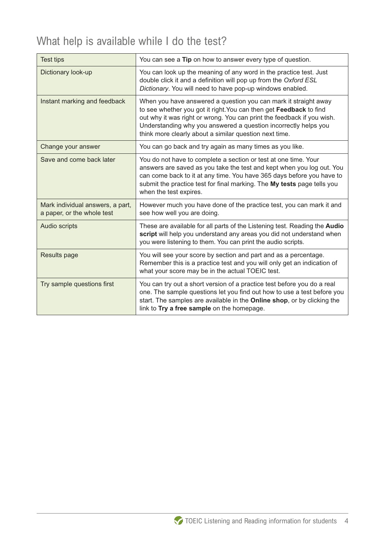# What help is available while I do the test?

| <b>Test tips</b>                                               | You can see a Tip on how to answer every type of question.                                                                                                                                                                                                                                                                                   |  |  |
|----------------------------------------------------------------|----------------------------------------------------------------------------------------------------------------------------------------------------------------------------------------------------------------------------------------------------------------------------------------------------------------------------------------------|--|--|
| Dictionary look-up                                             | You can look up the meaning of any word in the practice test. Just<br>double click it and a definition will pop up from the Oxford ESL<br>Dictionary. You will need to have pop-up windows enabled.                                                                                                                                          |  |  |
| Instant marking and feedback                                   | When you have answered a question you can mark it straight away<br>to see whether you got it right. You can then get Feedback to find<br>out why it was right or wrong. You can print the feedback if you wish.<br>Understanding why you answered a question incorrectly helps you<br>think more clearly about a similar question next time. |  |  |
| Change your answer                                             | You can go back and try again as many times as you like.                                                                                                                                                                                                                                                                                     |  |  |
| Save and come back later                                       | You do not have to complete a section or test at one time. Your<br>answers are saved as you take the test and kept when you log out. You<br>can come back to it at any time. You have 365 days before you have to<br>submit the practice test for final marking. The My tests page tells you<br>when the test expires.                       |  |  |
| Mark individual answers, a part,<br>a paper, or the whole test | However much you have done of the practice test, you can mark it and<br>see how well you are doing.                                                                                                                                                                                                                                          |  |  |
| <b>Audio scripts</b>                                           | These are available for all parts of the Listening test. Reading the Audio<br>script will help you understand any areas you did not understand when<br>you were listening to them. You can print the audio scripts.                                                                                                                          |  |  |
| <b>Results page</b>                                            | You will see your score by section and part and as a percentage.<br>Remember this is a practice test and you will only get an indication of<br>what your score may be in the actual TOEIC test.                                                                                                                                              |  |  |
| Try sample questions first                                     | You can try out a short version of a practice test before you do a real<br>one. The sample questions let you find out how to use a test before you<br>start. The samples are available in the Online shop, or by clicking the<br>link to Try a free sample on the homepage.                                                                  |  |  |

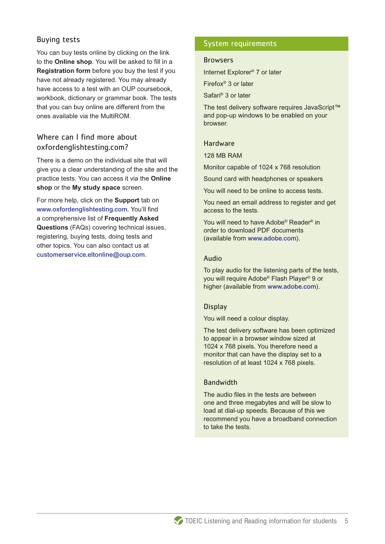## Buying tests

You can buy tests online by clicking on the link to the **Online shop**. You will be asked to fill in a **Registration form** before you buy the test if you have not already registered. You may already have access to a test with an OUP coursebook, workbook, dictionary or grammar book. The tests that you can buy online are different from the ones available via the MultiROM.

## Where can I find more about oxfordenglishtesting.com?

There is a demo on the individual site that will give you a clear understanding of the site and the practice tests. You can access it via the **Online shop** or the **My study space** screen.

For more help, click on the **Support** tab on www.oxfordenglishtesting.com. You'll find a comprehensive list of **Frequently Asked Questions** (FAQs) covering technical issues, registering, buying tests, doing tests and other topics. You can also contact us at customerservice.eltonline@oup.com.

### System requirements

#### **Browsers**

Internet Explorer® 7 or later

Firefox® 3 or later

Safari® 3 or later

The test delivery software requires JavaScript™ and pop-up windows to be enabled on your browser.

#### **Hardware**

128 MB RAM

Monitor capable of 1024 x 768 resolution

Sound card with headphones or speakers

You will need to be online to access tests.

You need an email address to register and get access to the tests.

You will need to have Adobe® Reader® in order to download PDF documents (available from www.adobe.com).

#### Audio

To play audio for the listening parts of the tests, you will require Adobe® Flash Player© 9 or higher (available from www.adobe.com).

### **Display**

You will need a colour display.

The test delivery software has been optimized to appear in a browser window sized at 1024 x 768 pixels. You therefore need a monitor that can have the display set to a resolution of at least 1024 x 768 pixels.

### **Bandwidth**

The audio files in the tests are between one and three megabytes and will be slow to load at dial-up speeds. Because of this we recommend you have a broadband connection to take the tests.